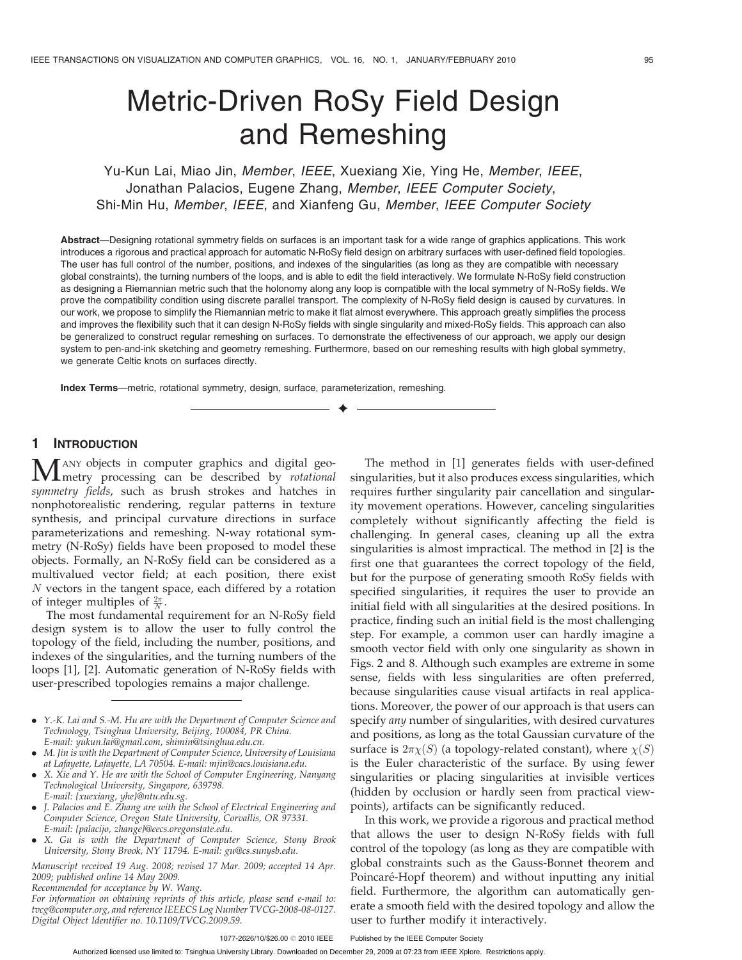# Metric-Driven RoSy Field Design and Remeshing

Yu-Kun Lai, Miao Jin, Member, IEEE, Xuexiang Xie, Ying He, Member, IEEE, Jonathan Palacios, Eugene Zhang, Member, IEEE Computer Society, Shi-Min Hu, Member, IEEE, and Xianfeng Gu, Member, IEEE Computer Society

Abstract-Designing rotational symmetry fields on surfaces is an important task for a wide range of graphics applications. This work introduces a rigorous and practical approach for automatic N-RoSy field design on arbitrary surfaces with user-defined field topologies. The user has full control of the number, positions, and indexes of the singularities (as long as they are compatible with necessary global constraints), the turning numbers of the loops, and is able to edit the field interactively. We formulate N-RoSy field construction as designing a Riemannian metric such that the holonomy along any loop is compatible with the local symmetry of N-RoSy fields. We prove the compatibility condition using discrete parallel transport. The complexity of N-RoSy field design is caused by curvatures. In our work, we propose to simplify the Riemannian metric to make it flat almost everywhere. This approach greatly simplifies the process and improves the flexibility such that it can design N-RoSy fields with single singularity and mixed-RoSy fields. This approach can also be generalized to construct regular remeshing on surfaces. To demonstrate the effectiveness of our approach, we apply our design system to pen-and-ink sketching and geometry remeshing. Furthermore, based on our remeshing results with high global symmetry, we generate Celtic knots on surfaces directly.

 $\ddotmark$ 

Index Terms—metric, rotational symmetry, design, surface, parameterization, remeshing.

# 1 INTRODUCTION

**M**ANY objects in computer graphics and digital geo-<br>metry processing can be described by *rotational* symmetry fields, such as brush strokes and hatches in nonphotorealistic rendering, regular patterns in texture synthesis, and principal curvature directions in surface parameterizations and remeshing. N-way rotational symmetry (N-RoSy) fields have been proposed to model these objects. Formally, an N-RoSy field can be considered as a multivalued vector field; at each position, there exist N vectors in the tangent space, each differed by a rotation of integer multiples of  $\frac{2\pi}{N}$ .

The most fundamental requirement for an N-RoSy field design system is to allow the user to fully control the topology of the field, including the number, positions, and indexes of the singularities, and the turning numbers of the loops [1], [2]. Automatic generation of N-RoSy fields with user-prescribed topologies remains a major challenge.

Recommended for acceptance by W. Wang.

The method in [1] generates fields with user-defined singularities, but it also produces excess singularities, which requires further singularity pair cancellation and singularity movement operations. However, canceling singularities completely without significantly affecting the field is challenging. In general cases, cleaning up all the extra singularities is almost impractical. The method in [2] is the first one that guarantees the correct topology of the field, but for the purpose of generating smooth RoSy fields with specified singularities, it requires the user to provide an initial field with all singularities at the desired positions. In practice, finding such an initial field is the most challenging step. For example, a common user can hardly imagine a smooth vector field with only one singularity as shown in Figs. 2 and 8. Although such examples are extreme in some sense, fields with less singularities are often preferred, because singularities cause visual artifacts in real applications. Moreover, the power of our approach is that users can specify any number of singularities, with desired curvatures and positions, as long as the total Gaussian curvature of the surface is  $2\pi\chi(S)$  (a topology-related constant), where  $\chi(S)$ is the Euler characteristic of the surface. By using fewer singularities or placing singularities at invisible vertices (hidden by occlusion or hardly seen from practical viewpoints), artifacts can be significantly reduced.

In this work, we provide a rigorous and practical method that allows the user to design N-RoSy fields with full control of the topology (as long as they are compatible with global constraints such as the Gauss-Bonnet theorem and Poincaré-Hopf theorem) and without inputting any initial field. Furthermore, the algorithm can automatically generate a smooth field with the desired topology and allow the user to further modify it interactively.

1077-2626/10/\$26.00 © 2010 IEEE Published by the IEEE Computer Society

Authorized licensed use limited to: Tsinghua University Library. Downloaded on December 29, 2009 at 07:23 from IEEE Xplore. Restrictions apply.

<sup>.</sup> Y.-K. Lai and S.-M. Hu are with the Department of Computer Science and Technology, Tsinghua University, Beijing, 100084, PR China. E-mail: yukun.lai@gmail.com, shimin@tsinghua.edu.cn.

<sup>.</sup> M. Jin is with the Department of Computer Science, University of Louisiana at Lafayette, Lafayette, LA 70504. E-mail: mjin@cacs.louisiana.edu.

<sup>.</sup> X. Xie and Y. He are with the School of Computer Engineering, Nanyang Technological University, Singapore, 639798. E-mail: {xuexiang, yhe}@ntu.edu.sg.

<sup>.</sup> J. Palacios and E. Zhang are with the School of Electrical Engineering and Computer Science, Oregon State University, Corvallis, OR 97331. E-mail: {palacijo, zhange}@eecs.oregonstate.edu.

<sup>.</sup> X. Gu is with the Department of Computer Science, Stony Brook University, Stony Brook, NY 11794. E-mail: gu@cs.sunysb.edu.

Manuscript received 19 Aug. 2008; revised 17 Mar. 2009; accepted 14 Apr. 2009; published online 14 May 2009.

For information on obtaining reprints of this article, please send e-mail to: tvcg@computer.org, and reference IEEECS Log Number TVCG-2008-08-0127. Digital Object Identifier no. 10.1109/TVCG.2009.59.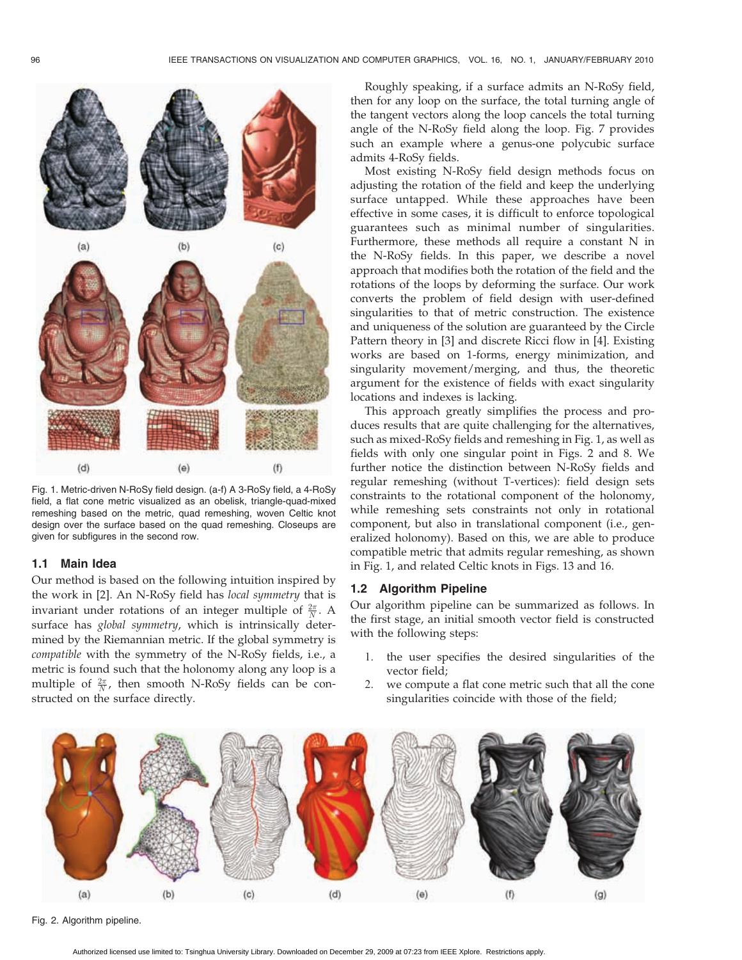

Fig. 1. Metric-driven N-RoSy field design. (a-f) A 3-RoSy field, a 4-RoSy field, a flat cone metric visualized as an obelisk, triangle-quad-mixed remeshing based on the metric, quad remeshing, woven Celtic knot design over the surface based on the quad remeshing. Closeups are given for subfigures in the second row.

# 1.1 Main Idea

Our method is based on the following intuition inspired by the work in [2]. An N-RoSy field has local symmetry that is invariant under rotations of an integer multiple of  $\frac{2\pi}{N}$ . A surface has global symmetry, which is intrinsically determined by the Riemannian metric. If the global symmetry is compatible with the symmetry of the N-RoSy fields, i.e., a metric is found such that the holonomy along any loop is a multiple of  $\frac{2\pi}{N}$ , then smooth N-RoSy fields can be constructed on the surface directly.

Roughly speaking, if a surface admits an N-RoSy field, then for any loop on the surface, the total turning angle of the tangent vectors along the loop cancels the total turning angle of the N-RoSy field along the loop. Fig. 7 provides such an example where a genus-one polycubic surface admits 4-RoSy fields.

Most existing N-RoSy field design methods focus on adjusting the rotation of the field and keep the underlying surface untapped. While these approaches have been effective in some cases, it is difficult to enforce topological guarantees such as minimal number of singularities. Furthermore, these methods all require a constant N in the N-RoSy fields. In this paper, we describe a novel approach that modifies both the rotation of the field and the rotations of the loops by deforming the surface. Our work converts the problem of field design with user-defined singularities to that of metric construction. The existence and uniqueness of the solution are guaranteed by the Circle Pattern theory in [3] and discrete Ricci flow in [4]. Existing works are based on 1-forms, energy minimization, and singularity movement/merging, and thus, the theoretic argument for the existence of fields with exact singularity locations and indexes is lacking.

This approach greatly simplifies the process and produces results that are quite challenging for the alternatives, such as mixed-RoSy fields and remeshing in Fig. 1, as well as fields with only one singular point in Figs. 2 and 8. We further notice the distinction between N-RoSy fields and regular remeshing (without T-vertices): field design sets constraints to the rotational component of the holonomy, while remeshing sets constraints not only in rotational component, but also in translational component (i.e., generalized holonomy). Based on this, we are able to produce compatible metric that admits regular remeshing, as shown in Fig. 1, and related Celtic knots in Figs. 13 and 16.

# 1.2 Algorithm Pipeline

Our algorithm pipeline can be summarized as follows. In the first stage, an initial smooth vector field is constructed with the following steps:

- 1. the user specifies the desired singularities of the vector field;
- 2. we compute a flat cone metric such that all the cone singularities coincide with those of the field;



Fig. 2. Algorithm pipeline.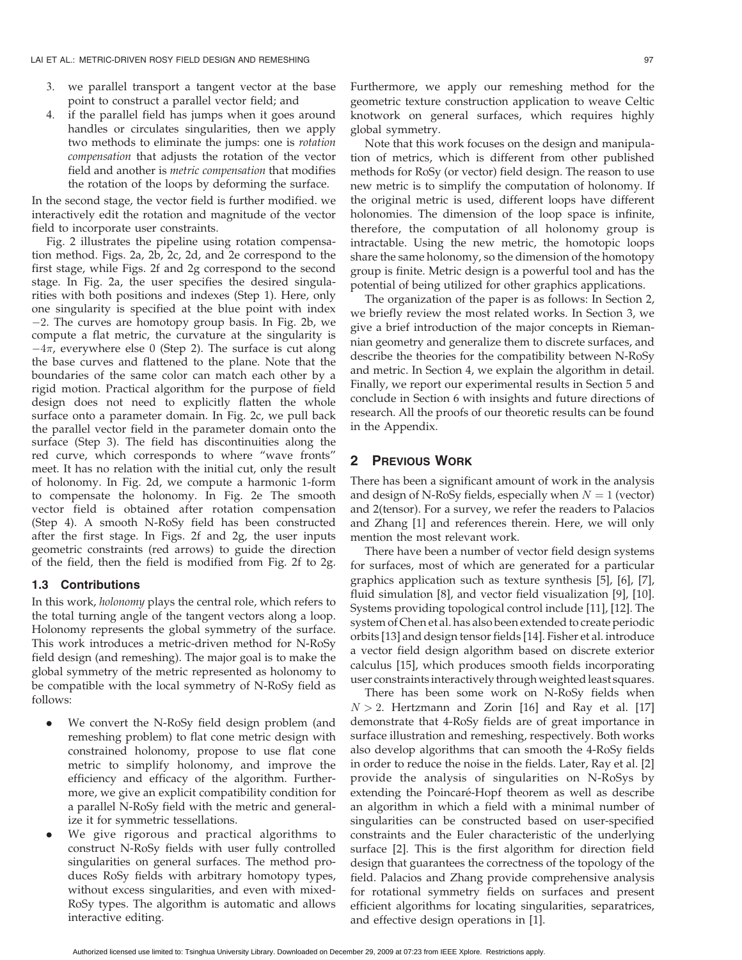- 3. we parallel transport a tangent vector at the base point to construct a parallel vector field; and
- if the parallel field has jumps when it goes around handles or circulates singularities, then we apply two methods to eliminate the jumps: one is rotation compensation that adjusts the rotation of the vector field and another is metric compensation that modifies the rotation of the loops by deforming the surface.

In the second stage, the vector field is further modified. we interactively edit the rotation and magnitude of the vector field to incorporate user constraints.

Fig. 2 illustrates the pipeline using rotation compensation method. Figs. 2a, 2b, 2c, 2d, and 2e correspond to the first stage, while Figs. 2f and 2g correspond to the second stage. In Fig. 2a, the user specifies the desired singularities with both positions and indexes (Step 1). Here, only one singularity is specified at the blue point with index -2. The curves are homotopy group basis. In Fig. 2b, we compute a flat metric, the curvature at the singularity is  $-4\pi$ , everywhere else 0 (Step 2). The surface is cut along the base curves and flattened to the plane. Note that the boundaries of the same color can match each other by a rigid motion. Practical algorithm for the purpose of field design does not need to explicitly flatten the whole surface onto a parameter domain. In Fig. 2c, we pull back the parallel vector field in the parameter domain onto the surface (Step 3). The field has discontinuities along the red curve, which corresponds to where "wave fronts" meet. It has no relation with the initial cut, only the result of holonomy. In Fig. 2d, we compute a harmonic 1-form to compensate the holonomy. In Fig. 2e The smooth vector field is obtained after rotation compensation (Step 4). A smooth N-RoSy field has been constructed after the first stage. In Figs. 2f and 2g, the user inputs geometric constraints (red arrows) to guide the direction of the field, then the field is modified from Fig. 2f to 2g.

# 1.3 Contributions

In this work, holonomy plays the central role, which refers to the total turning angle of the tangent vectors along a loop. Holonomy represents the global symmetry of the surface. This work introduces a metric-driven method for N-RoSy field design (and remeshing). The major goal is to make the global symmetry of the metric represented as holonomy to be compatible with the local symmetry of N-RoSy field as follows:

- We convert the N-RoSy field design problem (and remeshing problem) to flat cone metric design with constrained holonomy, propose to use flat cone metric to simplify holonomy, and improve the efficiency and efficacy of the algorithm. Furthermore, we give an explicit compatibility condition for a parallel N-RoSy field with the metric and generalize it for symmetric tessellations.
- . We give rigorous and practical algorithms to construct N-RoSy fields with user fully controlled singularities on general surfaces. The method produces RoSy fields with arbitrary homotopy types, without excess singularities, and even with mixed-RoSy types. The algorithm is automatic and allows interactive editing.

Furthermore, we apply our remeshing method for the geometric texture construction application to weave Celtic knotwork on general surfaces, which requires highly global symmetry.

Note that this work focuses on the design and manipulation of metrics, which is different from other published methods for RoSy (or vector) field design. The reason to use new metric is to simplify the computation of holonomy. If the original metric is used, different loops have different holonomies. The dimension of the loop space is infinite, therefore, the computation of all holonomy group is intractable. Using the new metric, the homotopic loops share the same holonomy, so the dimension of the homotopy group is finite. Metric design is a powerful tool and has the potential of being utilized for other graphics applications.

The organization of the paper is as follows: In Section 2, we briefly review the most related works. In Section 3, we give a brief introduction of the major concepts in Riemannian geometry and generalize them to discrete surfaces, and describe the theories for the compatibility between N-RoSy and metric. In Section 4, we explain the algorithm in detail. Finally, we report our experimental results in Section 5 and conclude in Section 6 with insights and future directions of research. All the proofs of our theoretic results can be found in the Appendix.

# 2 PREVIOUS WORK

There has been a significant amount of work in the analysis and design of N-RoSy fields, especially when  $N = 1$  (vector) and 2(tensor). For a survey, we refer the readers to Palacios and Zhang [1] and references therein. Here, we will only mention the most relevant work.

There have been a number of vector field design systems for surfaces, most of which are generated for a particular graphics application such as texture synthesis [5], [6], [7], fluid simulation [8], and vector field visualization [9], [10]. Systems providing topological control include [11], [12]. The system of Chen et al. has also been extended to create periodic orbits [13] and design tensor fields [14]. Fisher et al. introduce a vector field design algorithm based on discrete exterior calculus [15], which produces smooth fields incorporating user constraints interactively through weighted least squares.

There has been some work on N-RoSy fields when  $N > 2$ . Hertzmann and Zorin [16] and Ray et al. [17] demonstrate that 4-RoSy fields are of great importance in surface illustration and remeshing, respectively. Both works also develop algorithms that can smooth the 4-RoSy fields in order to reduce the noise in the fields. Later, Ray et al. [2] provide the analysis of singularities on N-RoSys by extending the Poincaré-Hopf theorem as well as describe an algorithm in which a field with a minimal number of singularities can be constructed based on user-specified constraints and the Euler characteristic of the underlying surface [2]. This is the first algorithm for direction field design that guarantees the correctness of the topology of the field. Palacios and Zhang provide comprehensive analysis for rotational symmetry fields on surfaces and present efficient algorithms for locating singularities, separatrices, and effective design operations in [1].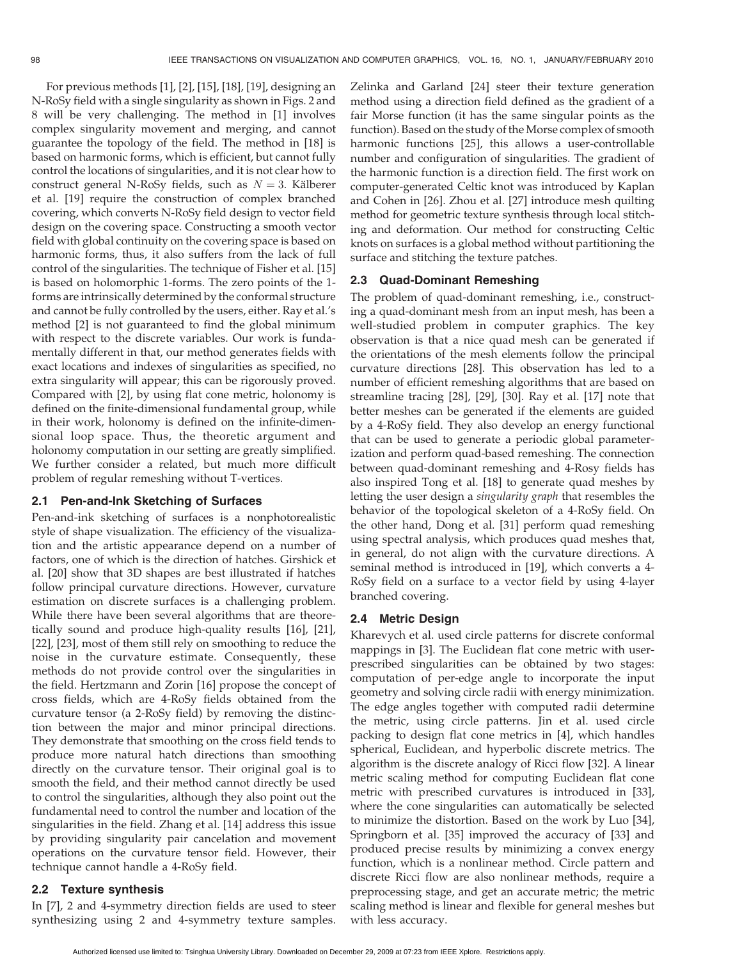For previous methods [1], [2], [15], [18], [19], designing an N-RoSy field with a single singularity as shown in Figs. 2 and 8 will be very challenging. The method in [1] involves complex singularity movement and merging, and cannot guarantee the topology of the field. The method in [18] is based on harmonic forms, which is efficient, but cannot fully control the locations of singularities, and it is not clear how to construct general N-RoSy fields, such as  $N = 3$ . Kälberer et al. [19] require the construction of complex branched covering, which converts N-RoSy field design to vector field design on the covering space. Constructing a smooth vector field with global continuity on the covering space is based on harmonic forms, thus, it also suffers from the lack of full control of the singularities. The technique of Fisher et al. [15] is based on holomorphic 1-forms. The zero points of the 1 forms are intrinsically determined by the conformal structure and cannot be fully controlled by the users, either. Ray et al.'s method [2] is not guaranteed to find the global minimum with respect to the discrete variables. Our work is fundamentally different in that, our method generates fields with exact locations and indexes of singularities as specified, no extra singularity will appear; this can be rigorously proved. Compared with [2], by using flat cone metric, holonomy is defined on the finite-dimensional fundamental group, while in their work, holonomy is defined on the infinite-dimensional loop space. Thus, the theoretic argument and holonomy computation in our setting are greatly simplified. We further consider a related, but much more difficult problem of regular remeshing without T-vertices.

# 2.1 Pen-and-Ink Sketching of Surfaces

Pen-and-ink sketching of surfaces is a nonphotorealistic style of shape visualization. The efficiency of the visualization and the artistic appearance depend on a number of factors, one of which is the direction of hatches. Girshick et al. [20] show that 3D shapes are best illustrated if hatches follow principal curvature directions. However, curvature estimation on discrete surfaces is a challenging problem. While there have been several algorithms that are theoretically sound and produce high-quality results [16], [21], [22], [23], most of them still rely on smoothing to reduce the noise in the curvature estimate. Consequently, these methods do not provide control over the singularities in the field. Hertzmann and Zorin [16] propose the concept of cross fields, which are 4-RoSy fields obtained from the curvature tensor (a 2-RoSy field) by removing the distinction between the major and minor principal directions. They demonstrate that smoothing on the cross field tends to produce more natural hatch directions than smoothing directly on the curvature tensor. Their original goal is to smooth the field, and their method cannot directly be used to control the singularities, although they also point out the fundamental need to control the number and location of the singularities in the field. Zhang et al. [14] address this issue by providing singularity pair cancelation and movement operations on the curvature tensor field. However, their technique cannot handle a 4-RoSy field.

# 2.2 Texture synthesis

In [7], 2 and 4-symmetry direction fields are used to steer synthesizing using 2 and 4-symmetry texture samples.

Zelinka and Garland [24] steer their texture generation method using a direction field defined as the gradient of a fair Morse function (it has the same singular points as the function). Based on the study of the Morse complex of smooth harmonic functions [25], this allows a user-controllable number and configuration of singularities. The gradient of the harmonic function is a direction field. The first work on computer-generated Celtic knot was introduced by Kaplan and Cohen in [26]. Zhou et al. [27] introduce mesh quilting method for geometric texture synthesis through local stitching and deformation. Our method for constructing Celtic knots on surfaces is a global method without partitioning the surface and stitching the texture patches.

# 2.3 Quad-Dominant Remeshing

The problem of quad-dominant remeshing, i.e., constructing a quad-dominant mesh from an input mesh, has been a well-studied problem in computer graphics. The key observation is that a nice quad mesh can be generated if the orientations of the mesh elements follow the principal curvature directions [28]. This observation has led to a number of efficient remeshing algorithms that are based on streamline tracing [28], [29], [30]. Ray et al. [17] note that better meshes can be generated if the elements are guided by a 4-RoSy field. They also develop an energy functional that can be used to generate a periodic global parameterization and perform quad-based remeshing. The connection between quad-dominant remeshing and 4-Rosy fields has also inspired Tong et al. [18] to generate quad meshes by letting the user design a singularity graph that resembles the behavior of the topological skeleton of a 4-RoSy field. On the other hand, Dong et al. [31] perform quad remeshing using spectral analysis, which produces quad meshes that, in general, do not align with the curvature directions. A seminal method is introduced in [19], which converts a 4- RoSy field on a surface to a vector field by using 4-layer branched covering.

# 2.4 Metric Design

Kharevych et al. used circle patterns for discrete conformal mappings in [3]. The Euclidean flat cone metric with userprescribed singularities can be obtained by two stages: computation of per-edge angle to incorporate the input geometry and solving circle radii with energy minimization. The edge angles together with computed radii determine the metric, using circle patterns. Jin et al. used circle packing to design flat cone metrics in [4], which handles spherical, Euclidean, and hyperbolic discrete metrics. The algorithm is the discrete analogy of Ricci flow [32]. A linear metric scaling method for computing Euclidean flat cone metric with prescribed curvatures is introduced in [33], where the cone singularities can automatically be selected to minimize the distortion. Based on the work by Luo [34], Springborn et al. [35] improved the accuracy of [33] and produced precise results by minimizing a convex energy function, which is a nonlinear method. Circle pattern and discrete Ricci flow are also nonlinear methods, require a preprocessing stage, and get an accurate metric; the metric scaling method is linear and flexible for general meshes but with less accuracy.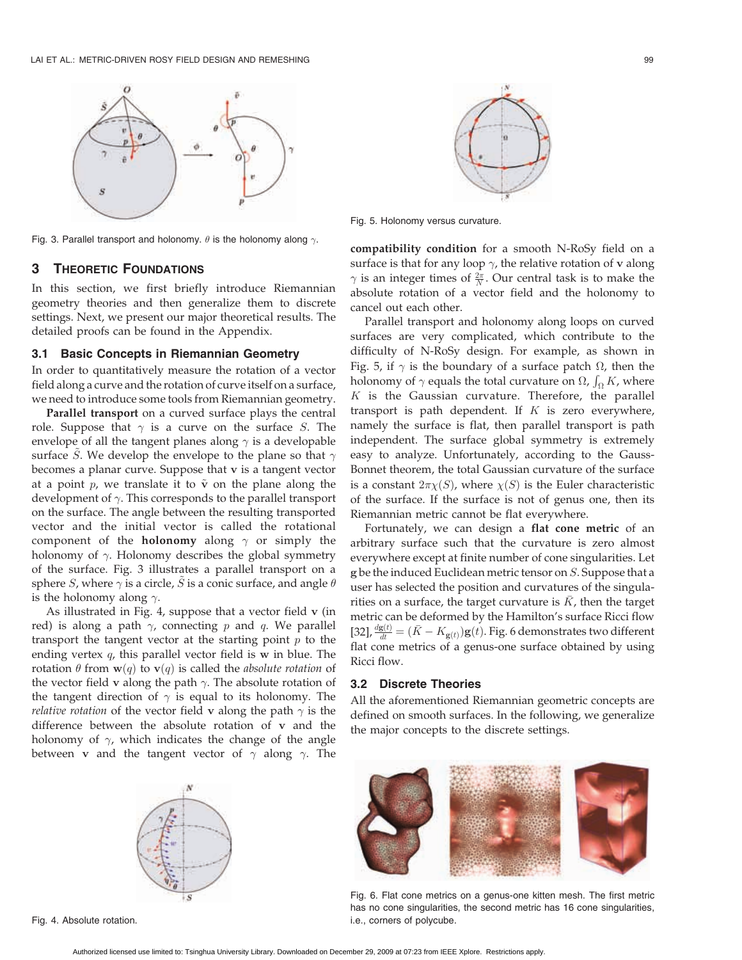

Fig. 3. Parallel transport and holonomy.  $\theta$  is the holonomy along  $\gamma$ .

# 3 THEORETIC FOUNDATIONS

In this section, we first briefly introduce Riemannian geometry theories and then generalize them to discrete settings. Next, we present our major theoretical results. The detailed proofs can be found in the Appendix.

#### 3.1 Basic Concepts in Riemannian Geometry

In order to quantitatively measure the rotation of a vector field along a curve and the rotation of curve itself on a surface, we need to introduce some tools from Riemannian geometry.

Parallel transport on a curved surface plays the central role. Suppose that  $\gamma$  is a curve on the surface S. The envelope of all the tangent planes along  $\gamma$  is a developable surface  $\tilde{S}$ . We develop the envelope to the plane so that  $\gamma$ becomes a planar curve. Suppose that v is a tangent vector at a point p, we translate it to  $\tilde{v}$  on the plane along the development of  $\gamma$ . This corresponds to the parallel transport on the surface. The angle between the resulting transported vector and the initial vector is called the rotational component of the **holonomy** along  $\gamma$  or simply the holonomy of  $\gamma$ . Holonomy describes the global symmetry of the surface. Fig. 3 illustrates a parallel transport on a sphere S, where  $\gamma$  is a circle, S is a conic surface, and angle  $\theta$ is the holonomy along  $\gamma$ .

As illustrated in Fig. 4, suppose that a vector field  $v$  (in red) is along a path  $\gamma$ , connecting p and q. We parallel transport the tangent vector at the starting point  $p$  to the ending vertex q, this parallel vector field is w in blue. The rotation  $\theta$  from  $\mathbf{w}(q)$  to  $\mathbf{v}(q)$  is called the *absolute rotation* of the vector field v along the path  $\gamma$ . The absolute rotation of the tangent direction of  $\gamma$  is equal to its holonomy. The *relative rotation* of the vector field v along the path  $\gamma$  is the difference between the absolute rotation of v and the holonomy of  $\gamma$ , which indicates the change of the angle between v and the tangent vector of  $\gamma$  along  $\gamma$ . The



Fig. 4. Absolute rotation.



Fig. 5. Holonomy versus curvature.

compatibility condition for a smooth N-RoSy field on a surface is that for any loop  $\gamma$ , the relative rotation of v along  $\gamma$  is an integer times of  $\frac{2\pi}{N}$ . Our central task is to make the absolute rotation of a vector field and the holonomy to cancel out each other.

Parallel transport and holonomy along loops on curved surfaces are very complicated, which contribute to the difficulty of N-RoSy design. For example, as shown in Fig. 5, if  $\gamma$  is the boundary of a surface patch  $\Omega$ , then the holonomy of  $\gamma$  equals the total curvature on  $\Omega$ ,  $\int$  $\int_{\Omega} K$ , where  $K$  is the Gaussian curvature. Therefore, the parallel transport is path dependent. If  $K$  is zero everywhere, namely the surface is flat, then parallel transport is path independent. The surface global symmetry is extremely easy to analyze. Unfortunately, according to the Gauss-Bonnet theorem, the total Gaussian curvature of the surface is a constant  $2\pi\chi(S)$ , where  $\chi(S)$  is the Euler characteristic of the surface. If the surface is not of genus one, then its Riemannian metric cannot be flat everywhere.

Fortunately, we can design a flat cone metric of an arbitrary surface such that the curvature is zero almost everywhere except at finite number of cone singularities. Let g be the induced Euclidean metric tensor on S. Suppose that a user has selected the position and curvatures of the singularities on a surface, the target curvature is  $\bar{K}$ , then the target metric can be deformed by the Hamilton's surface Ricci flow [32],  $\frac{d\mathbf{g}(t)}{dt} = (\bar{K} - K_{\mathbf{g}(t)})\mathbf{g}(t)$ . Fig. 6 demonstrates two different flat cone metrics of a genus-one surface obtained by using Ricci flow.

## 3.2 Discrete Theories

All the aforementioned Riemannian geometric concepts are defined on smooth surfaces. In the following, we generalize the major concepts to the discrete settings.



Fig. 6. Flat cone metrics on a genus-one kitten mesh. The first metric has no cone singularities, the second metric has 16 cone singularities, i.e., corners of polycube.

Authorized licensed use limited to: Tsinghua University Library. Downloaded on December 29, 2009 at 07:23 from IEEE Xplore. Restrictions apply.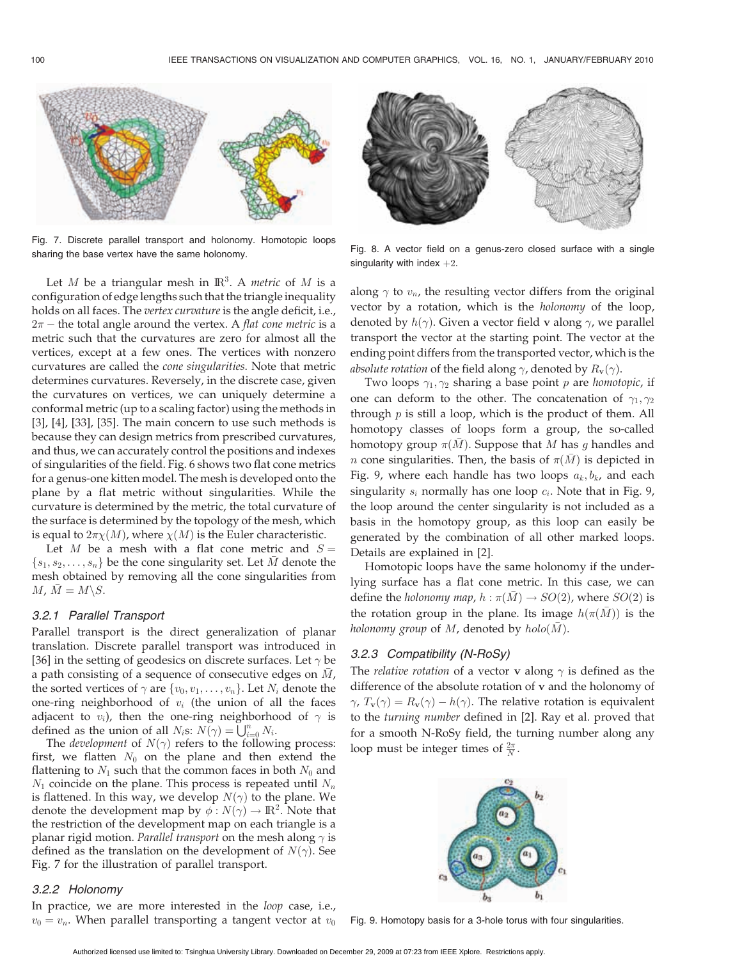

Fig. 7. Discrete parallel transport and holonomy. Homotopic loops sharing the base vertex have the same holonomy. Fig. 8. A vector field on a genus-zero closed surface with a single

Let M be a triangular mesh in  $\mathbb{R}^3$ . A *metric* of M is a configuration of edge lengths such that the triangle inequality holds on all faces. The vertex curvature is the angle deficit, i.e.,  $2\pi$  – the total angle around the vertex. A *flat cone metric* is a metric such that the curvatures are zero for almost all the vertices, except at a few ones. The vertices with nonzero curvatures are called the cone singularities. Note that metric determines curvatures. Reversely, in the discrete case, given the curvatures on vertices, we can uniquely determine a conformal metric (up to a scaling factor) using the methods in [3], [4], [33], [35]. The main concern to use such methods is because they can design metrics from prescribed curvatures, and thus, we can accurately control the positions and indexes of singularities of the field. Fig. 6 shows two flat cone metrics for a genus-one kitten model. The mesh is developed onto the plane by a flat metric without singularities. While the curvature is determined by the metric, the total curvature of the surface is determined by the topology of the mesh, which is equal to  $2\pi\chi(M)$ , where  $\chi(M)$  is the Euler characteristic.

Let M be a mesh with a flat cone metric and  $S =$  ${s_1, s_2, \ldots, s_n}$  be the cone singularity set. Let M denote the mesh obtained by removing all the cone singularities from  $M, M = M \backslash S.$ 

#### 3.2.1 Parallel Transport

Parallel transport is the direct generalization of planar translation. Discrete parallel transport was introduced in [36] in the setting of geodesics on discrete surfaces. Let  $\gamma$  be a path consisting of a sequence of consecutive edges on  $M$ , the sorted vertices of  $\gamma$  are  $\{v_0, v_1, \ldots, v_n\}$ . Let  $N_i$  denote the one-ring neighborhood of  $v_i$  (the union of all the faces adjacent to  $v_i$ ), then the one-ring neighborhood of  $\gamma$  is defined as the union of all  $N_i$ s:  $N(\gamma) = \bigcup_{i=0}^n N_i$ .

The *development* of  $N(\gamma)$  refers to the following process: first, we flatten  $N_0$  on the plane and then extend the flattening to  $N_1$  such that the common faces in both  $N_0$  and  $N_1$  coincide on the plane. This process is repeated until  $N_n$ is flattened. In this way, we develop  $N(\gamma)$  to the plane. We denote the development map by  $\phi: N(\gamma) \to \mathbb{R}^2$ . Note that the restriction of the development map on each triangle is a planar rigid motion. Parallel transport on the mesh along  $\gamma$  is defined as the translation on the development of  $N(\gamma)$ . See Fig. 7 for the illustration of parallel transport.

### 3.2.2 Holonomy

In practice, we are more interested in the loop case, i.e.,  $v_0 = v_n$ . When parallel transporting a tangent vector at  $v_0$ 



singularity with index  $+2$ .

along  $\gamma$  to  $v_n$ , the resulting vector differs from the original vector by a rotation, which is the holonomy of the loop, denoted by  $h(\gamma)$ . Given a vector field v along  $\gamma$ , we parallel transport the vector at the starting point. The vector at the ending point differs from the transported vector, which is the *absolute rotation* of the field along  $\gamma$ , denoted by  $R_v(\gamma)$ .

Two loops  $\gamma_1, \gamma_2$  sharing a base point p are homotopic, if one can deform to the other. The concatenation of  $\gamma_1, \gamma_2$ through  $p$  is still a loop, which is the product of them. All homotopy classes of loops form a group, the so-called homotopy group  $\pi(\bar{M})$ . Suppose that  $M$  has  $g$  handles and n cone singularities. Then, the basis of  $\pi(\bar{M})$  is depicted in Fig. 9, where each handle has two loops  $a_k, b_k$ , and each singularity  $s_i$  normally has one loop  $c_i$ . Note that in Fig. 9, the loop around the center singularity is not included as a basis in the homotopy group, as this loop can easily be generated by the combination of all other marked loops. Details are explained in [2].

Homotopic loops have the same holonomy if the underlying surface has a flat cone metric. In this case, we can define the *holonomy map*,  $h : \pi(M) \to SO(2)$ , where  $SO(2)$  is the rotation group in the plane. Its image  $h(\pi(\bar{M}))$  is the holonomy group of M, denoted by  $holo(\overline{M})$ .

# 3.2.3 Compatibility (N-RoSy)

The *relative rotation* of a vector **v** along  $\gamma$  is defined as the difference of the absolute rotation of v and the holonomy of  $\gamma$ ,  $T_{\bf{v}}(\gamma) = R_{\bf{v}}(\gamma) - h(\gamma)$ . The relative rotation is equivalent to the turning number defined in [2]. Ray et al. proved that for a smooth N-RoSy field, the turning number along any loop must be integer times of  $\frac{2\pi}{N}$ .

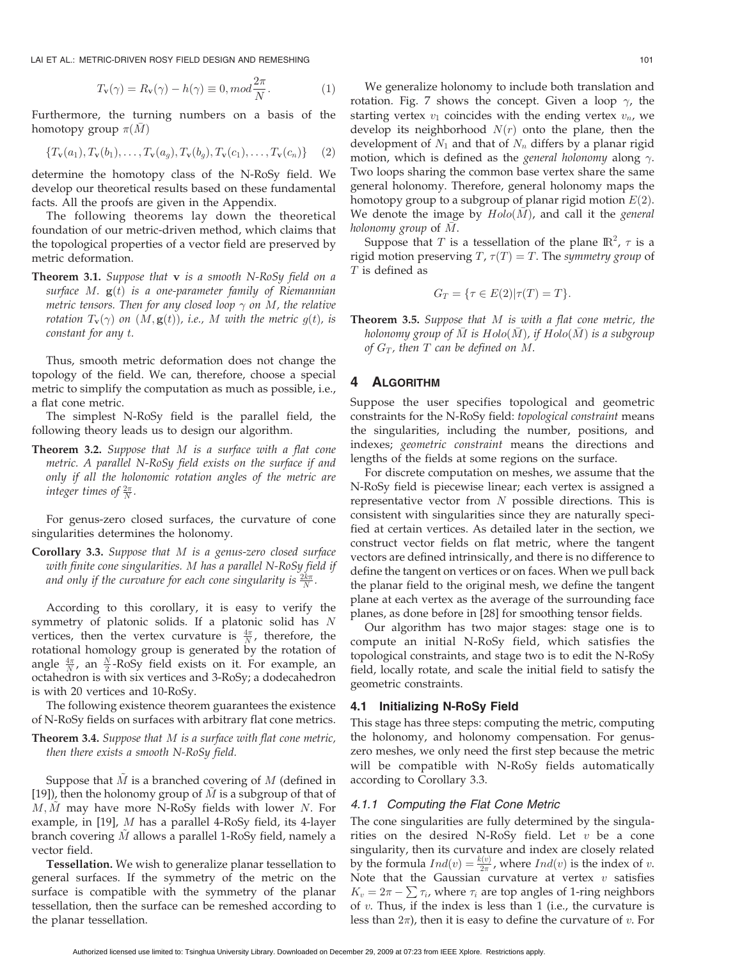LAI ET AL.: METRIC-DRIVEN ROSY FIELD DESIGN AND REMESHING 101

$$
T_{\mathbf{v}}(\gamma) = R_{\mathbf{v}}(\gamma) - h(\gamma) \equiv 0, \text{mod} \frac{2\pi}{N}.
$$
 (1)

Furthermore, the turning numbers on a basis of the homotopy group  $\pi(\bar{M})$ 

$$
\{T_{\mathbf{v}}(a_1), T_{\mathbf{v}}(b_1), \dots, T_{\mathbf{v}}(a_g), T_{\mathbf{v}}(b_g), T_{\mathbf{v}}(c_1), \dots, T_{\mathbf{v}}(c_n)\}\qquad(2)
$$

determine the homotopy class of the N-RoSy field. We develop our theoretical results based on these fundamental facts. All the proofs are given in the Appendix.

The following theorems lay down the theoretical foundation of our metric-driven method, which claims that the topological properties of a vector field are preserved by metric deformation.

**Theorem 3.1.** Suppose that  $v$  is a smooth N-RoSy field on a surface M.  $\mathbf{g}(t)$  is a one-parameter family of Riemannian metric tensors. Then for any closed loop  $\gamma$  on M, the relative rotation  $T_{\mathbf{v}}(\gamma)$  on  $(M, \mathbf{g}(t))$ , i.e., M with the metric  $g(t)$ , is constant for any t.

Thus, smooth metric deformation does not change the topology of the field. We can, therefore, choose a special metric to simplify the computation as much as possible, i.e., a flat cone metric.

The simplest N-RoSy field is the parallel field, the following theory leads us to design our algorithm.

**Theorem 3.2.** Suppose that  $M$  is a surface with a flat cone metric. A parallel N-RoSy field exists on the surface if and only if all the holonomic rotation angles of the metric are integer times of  $\frac{2\pi}{N}$ .

For genus-zero closed surfaces, the curvature of cone singularities determines the holonomy.

Corollary 3.3. Suppose that M is a genus-zero closed surface with finite cone singularities. M has a parallel N-RoSy field if and only if the curvature for each cone singularity is  $\frac{2k\pi}{N}.$ 

According to this corollary, it is easy to verify the symmetry of platonic solids. If a platonic solid has N vertices, then the vertex curvature is  $\frac{4\pi}{N}$ , therefore, the rotational homology group is generated by the rotation of angle  $\frac{4\pi}{N}$ , an  $\frac{N}{2}$ -RoSy field exists on it. For example, an octahedron is with six vertices and 3-RoSy; a dodecahedron is with 20 vertices and 10-RoSy.

The following existence theorem guarantees the existence of N-RoSy fields on surfaces with arbitrary flat cone metrics.

**Theorem 3.4.** Suppose that  $M$  is a surface with flat cone metric, then there exists a smooth N-RoSy field.

Suppose that  $\tilde{M}$  is a branched covering of  $M$  (defined in [19]), then the holonomy group of  $\tilde{M}$  is a subgroup of that of  $M, M$  may have more N-RoSy fields with lower N. For example, in [19], M has a parallel 4-RoSy field, its 4-layer branch covering  $M$  allows a parallel 1-RoSy field, namely a vector field.

Tessellation. We wish to generalize planar tessellation to general surfaces. If the symmetry of the metric on the surface is compatible with the symmetry of the planar tessellation, then the surface can be remeshed according to the planar tessellation.

We generalize holonomy to include both translation and rotation. Fig. 7 shows the concept. Given a loop  $\gamma$ , the starting vertex  $v_1$  coincides with the ending vertex  $v_n$ , we develop its neighborhood  $N(r)$  onto the plane, then the development of  $N_1$  and that of  $N_n$  differs by a planar rigid motion, which is defined as the *general holonomy* along  $\gamma$ . Two loops sharing the common base vertex share the same general holonomy. Therefore, general holonomy maps the homotopy group to a subgroup of planar rigid motion  $E(2)$ . We denote the image by  $Holo(\bar{M})$ , and call it the general holonomy group of  $M$ .

Suppose that T is a tessellation of the plane  $\mathbb{R}^2$ ,  $\tau$  is a rigid motion preserving T,  $\tau(T) = T$ . The symmetry group of  $T$  is defined as

$$
G_T = \{ \tau \in E(2) | \tau(T) = T \}.
$$

**Theorem 3.5.** Suppose that  $M$  is with a flat cone metric, the holonomy group of  $\overline{M}$  is  $Holo(\overline{M})$ , if  $Holo(\overline{M})$  is a subgroup of  $G_T$ , then T can be defined on M.

## **ALGORITHM**

Suppose the user specifies topological and geometric constraints for the N-RoSy field: topological constraint means the singularities, including the number, positions, and indexes; geometric constraint means the directions and lengths of the fields at some regions on the surface.

For discrete computation on meshes, we assume that the N-RoSy field is piecewise linear; each vertex is assigned a representative vector from  $N$  possible directions. This is consistent with singularities since they are naturally specified at certain vertices. As detailed later in the section, we construct vector fields on flat metric, where the tangent vectors are defined intrinsically, and there is no difference to define the tangent on vertices or on faces. When we pull back the planar field to the original mesh, we define the tangent plane at each vertex as the average of the surrounding face planes, as done before in [28] for smoothing tensor fields.

Our algorithm has two major stages: stage one is to compute an initial N-RoSy field, which satisfies the topological constraints, and stage two is to edit the N-RoSy field, locally rotate, and scale the initial field to satisfy the geometric constraints.

#### 4.1 Initializing N-RoSy Field

This stage has three steps: computing the metric, computing the holonomy, and holonomy compensation. For genuszero meshes, we only need the first step because the metric will be compatible with N-RoSy fields automatically according to Corollary 3.3.

## 4.1.1 Computing the Flat Cone Metric

The cone singularities are fully determined by the singularities on the desired N-RoSy field. Let  $v$  be a cone singularity, then its curvature and index are closely related by the formula  $Ind(v) = \frac{k(v)}{2\pi}$ , where  $Ind(v)$  is the index of v. Note that the Gaussian curvature at vertex  $v$  satisfies  $K_v = 2\pi - \sum \tau_i$ , where  $\tau_i$  are top angles of 1-ring neighbors of  $v$ . Thus, if the index is less than 1 (i.e., the curvature is less than  $2\pi$ ), then it is easy to define the curvature of  $v.$  For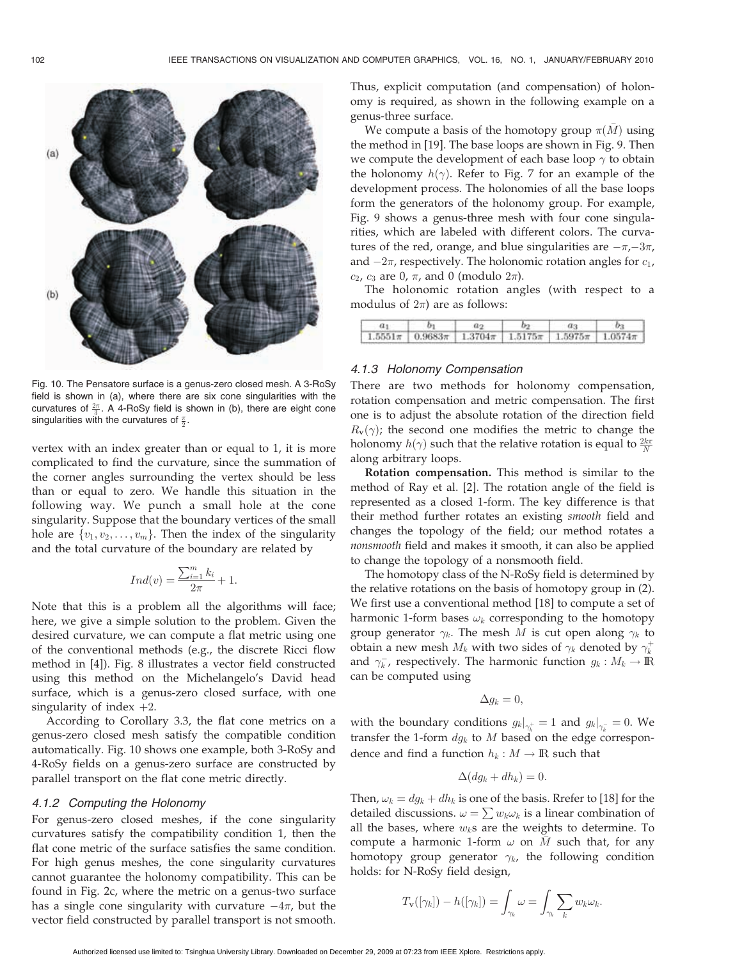Fig. 10. The Pensatore surface is a genus-zero closed mesh. A 3-RoSy field is shown in (a), where there are six cone singularities with the curvatures of  $\frac{2\pi}{3}$ . A 4-RoSy field is shown in (b), there are eight cone singularities with the curvatures of  $\frac{\pi}{2}$ .

vertex with an index greater than or equal to 1, it is more complicated to find the curvature, since the summation of the corner angles surrounding the vertex should be less than or equal to zero. We handle this situation in the following way. We punch a small hole at the cone singularity. Suppose that the boundary vertices of the small hole are  $\{v_1, v_2, \ldots, v_m\}$ . Then the index of the singularity and the total curvature of the boundary are related by

$$
Ind(v) = \frac{\sum_{i=1}^{m} k_i}{2\pi} + 1.
$$

Note that this is a problem all the algorithms will face; here, we give a simple solution to the problem. Given the desired curvature, we can compute a flat metric using one of the conventional methods (e.g., the discrete Ricci flow method in [4]). Fig. 8 illustrates a vector field constructed using this method on the Michelangelo's David head surface, which is a genus-zero closed surface, with one singularity of index  $+2$ .

According to Corollary 3.3, the flat cone metrics on a genus-zero closed mesh satisfy the compatible condition automatically. Fig. 10 shows one example, both 3-RoSy and 4-RoSy fields on a genus-zero surface are constructed by parallel transport on the flat cone metric directly.

# 4.1.2 Computing the Holonomy

For genus-zero closed meshes, if the cone singularity curvatures satisfy the compatibility condition 1, then the flat cone metric of the surface satisfies the same condition. For high genus meshes, the cone singularity curvatures cannot guarantee the holonomy compatibility. This can be found in Fig. 2c, where the metric on a genus-two surface has a single cone singularity with curvature  $-4\pi$ , but the vector field constructed by parallel transport is not smooth.

Thus, explicit computation (and compensation) of holonomy is required, as shown in the following example on a genus-three surface.

We compute a basis of the homotopy group  $\pi(\bar{M})$  using the method in [19]. The base loops are shown in Fig. 9. Then we compute the development of each base loop  $\gamma$  to obtain the holonomy  $h(\gamma)$ . Refer to Fig. 7 for an example of the development process. The holonomies of all the base loops form the generators of the holonomy group. For example, Fig. 9 shows a genus-three mesh with four cone singularities, which are labeled with different colors. The curvatures of the red, orange, and blue singularities are  $-\pi$ ,  $-3\pi$ , and  $-2\pi$ , respectively. The holonomic rotation angles for  $c_1$ ,  $c_2$ ,  $c_3$  are 0,  $\pi$ , and 0 (modulo  $2\pi$ ).

The holonomic rotation angles (with respect to a modulus of  $2\pi$ ) are as follows:

|                                                                          | a <sub>2</sub> |  |  |
|--------------------------------------------------------------------------|----------------|--|--|
| $1.5551\pi$ 0.9683 $\pi$ $1.3704\pi$ $1.5175\pi$ $1.5975\pi$ $1.0574\pi$ |                |  |  |

#### 4.1.3 Holonomy Compensation

There are two methods for holonomy compensation, rotation compensation and metric compensation. The first one is to adjust the absolute rotation of the direction field  $R_v(\gamma)$ ; the second one modifies the metric to change the holonomy  $h(\gamma)$  such that the relative rotation is equal to  $\frac{2k\pi}{N}$ along arbitrary loops.

Rotation compensation. This method is similar to the method of Ray et al. [2]. The rotation angle of the field is represented as a closed 1-form. The key difference is that their method further rotates an existing smooth field and changes the topology of the field; our method rotates a nonsmooth field and makes it smooth, it can also be applied to change the topology of a nonsmooth field.

The homotopy class of the N-RoSy field is determined by the relative rotations on the basis of homotopy group in (2). We first use a conventional method [18] to compute a set of harmonic 1-form bases  $\omega_k$  corresponding to the homotopy group generator  $\gamma_k$ . The mesh M is cut open along  $\gamma_k$  to obtain a new mesh  $M_k$  with two sides of  $\gamma_k$  denoted by  $\gamma_k^+$ and  $\gamma_k^-$ , respectively. The harmonic function  $g_k : M_k \to \mathbb{R}$ can be computed using

$$
\Delta g_k=0,
$$

with the boundary conditions  $g_k|_{\gamma^+_k}=1$  and  $g_k|_{\gamma^-_k}=0.$  We transfer the 1-form  $dg_k$  to  $M$  based on the edge correspondence and find a function  $h_k : M \to \mathbb{R}$  such that

$$
\Delta(dg_k + dh_k) = 0.
$$

Then,  $\omega_k = dg_k + dh_k$  is one of the basis. Rrefer to [18] for the detailed discussions.  $\omega = \sum w_k \omega_k$  is a linear combination of all the bases, where  $w_k$ s are the weights to determine. To compute a harmonic 1-form  $\omega$  on  $\overline{M}$  such that, for any homotopy group generator  $\gamma_k$ , the following condition holds: for N-RoSy field design,

$$
T_{\mathbf{v}}([\gamma_k]) - h([\gamma_k]) = \int_{\gamma_k} \omega = \int_{\gamma_k} \sum_k w_k \omega_k.
$$

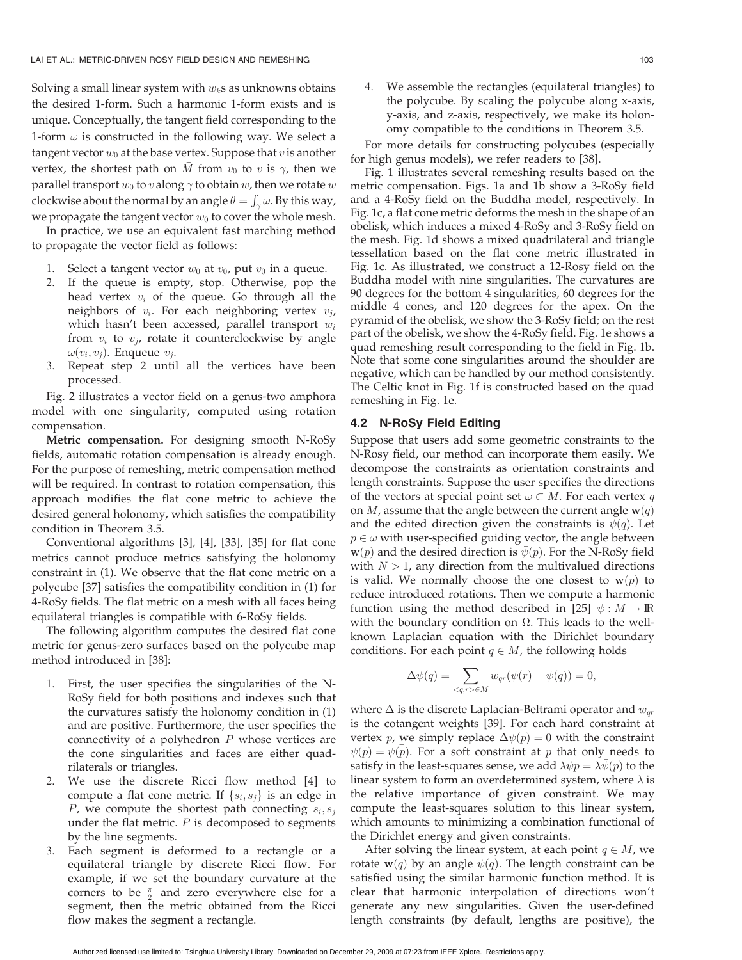Solving a small linear system with  $w<sub>k</sub>$ s as unknowns obtains the desired 1-form. Such a harmonic 1-form exists and is unique. Conceptually, the tangent field corresponding to the 1-form  $\omega$  is constructed in the following way. We select a tangent vector  $w_0$  at the base vertex. Suppose that  $v$  is another vertex, the shortest path on M from  $v_0$  to v is  $\gamma$ , then we parallel transport  $w_0$  to v along  $\gamma$  to obtain w, then we rotate w clockwise about the normal by an angle  $\theta = \int_{\gamma} \omega$ . By this way, we propagate the tangent vector  $w_0$  to cover the whole mesh.

In practice, we use an equivalent fast marching method to propagate the vector field as follows:

- 1. Select a tangent vector  $w_0$  at  $v_0$ , put  $v_0$  in a queue.
- 2. If the queue is empty, stop. Otherwise, pop the head vertex  $v_i$  of the queue. Go through all the neighbors of  $v_i$ . For each neighboring vertex  $v_i$ , which hasn't been accessed, parallel transport  $w_i$ from  $v_i$  to  $v_j$ , rotate it counterclockwise by angle  $\omega(v_i, v_j)$ . Enqueue  $v_j$ .
- 3. Repeat step 2 until all the vertices have been processed.

Fig. 2 illustrates a vector field on a genus-two amphora model with one singularity, computed using rotation compensation.

Metric compensation. For designing smooth N-RoSy fields, automatic rotation compensation is already enough. For the purpose of remeshing, metric compensation method will be required. In contrast to rotation compensation, this approach modifies the flat cone metric to achieve the desired general holonomy, which satisfies the compatibility condition in Theorem 3.5.

Conventional algorithms [3], [4], [33], [35] for flat cone metrics cannot produce metrics satisfying the holonomy constraint in (1). We observe that the flat cone metric on a polycube [37] satisfies the compatibility condition in (1) for 4-RoSy fields. The flat metric on a mesh with all faces being equilateral triangles is compatible with 6-RoSy fields.

The following algorithm computes the desired flat cone metric for genus-zero surfaces based on the polycube map method introduced in [38]:

- 1. First, the user specifies the singularities of the N-RoSy field for both positions and indexes such that the curvatures satisfy the holonomy condition in (1) and are positive. Furthermore, the user specifies the connectivity of a polyhedron  $P$  whose vertices are the cone singularities and faces are either quadrilaterals or triangles.
- 2. We use the discrete Ricci flow method [4] to compute a flat cone metric. If  $\{s_i, s_j\}$  is an edge in P, we compute the shortest path connecting  $s_i, s_j$ under the flat metric.  $P$  is decomposed to segments by the line segments.
- 3. Each segment is deformed to a rectangle or a equilateral triangle by discrete Ricci flow. For example, if we set the boundary curvature at the corners to be  $\frac{\pi}{2}$  and zero everywhere else for a segment, then the metric obtained from the Ricci flow makes the segment a rectangle.

4. We assemble the rectangles (equilateral triangles) to the polycube. By scaling the polycube along x-axis, y-axis, and z-axis, respectively, we make its holonomy compatible to the conditions in Theorem 3.5.

For more details for constructing polycubes (especially for high genus models), we refer readers to [38].

Fig. 1 illustrates several remeshing results based on the metric compensation. Figs. 1a and 1b show a 3-RoSy field and a 4-RoSy field on the Buddha model, respectively. In Fig. 1c, a flat cone metric deforms the mesh in the shape of an obelisk, which induces a mixed 4-RoSy and 3-RoSy field on the mesh. Fig. 1d shows a mixed quadrilateral and triangle tessellation based on the flat cone metric illustrated in Fig. 1c. As illustrated, we construct a 12-Rosy field on the Buddha model with nine singularities. The curvatures are 90 degrees for the bottom 4 singularities, 60 degrees for the middle 4 cones, and 120 degrees for the apex. On the pyramid of the obelisk, we show the 3-RoSy field; on the rest part of the obelisk, we show the 4-RoSy field. Fig. 1e shows a quad remeshing result corresponding to the field in Fig. 1b. Note that some cone singularities around the shoulder are negative, which can be handled by our method consistently. The Celtic knot in Fig. 1f is constructed based on the quad remeshing in Fig. 1e.

# 4.2 N-RoSy Field Editing

Suppose that users add some geometric constraints to the N-Rosy field, our method can incorporate them easily. We decompose the constraints as orientation constraints and length constraints. Suppose the user specifies the directions of the vectors at special point set  $\omega \subset M$ . For each vertex q on *M*, assume that the angle between the current angle  $w(q)$ and the edited direction given the constraints is  $\psi(q)$ . Let  $p \in \omega$  with user-specified guiding vector, the angle between  $\mathbf{w}(p)$  and the desired direction is  $\psi(p)$ . For the N-RoSy field with  $N > 1$ , any direction from the multivalued directions is valid. We normally choose the one closest to  $w(p)$  to reduce introduced rotations. Then we compute a harmonic function using the method described in [25]  $\psi : M \to \mathbb{R}$ with the boundary condition on  $\Omega$ . This leads to the wellknown Laplacian equation with the Dirichlet boundary conditions. For each point  $q \in M$ , the following holds

$$
\Delta \psi(q) = \sum_{\langle q, r \rangle \in M} w_{qr}(\psi(r) - \psi(q)) = 0,
$$

where  $\Delta$  is the discrete Laplacian-Beltrami operator and  $w_{qr}$ is the cotangent weights [39]. For each hard constraint at vertex p, we simply replace  $\Delta \psi(p) = 0$  with the constraint  $\psi(p) = \psi(p)$ . For a soft constraint at p that only needs to satisfy in the least-squares sense, we add  $\lambda \psi p = \lambda \bar{\psi}(p)$  to the linear system to form an overdetermined system, where  $\lambda$  is the relative importance of given constraint. We may compute the least-squares solution to this linear system, which amounts to minimizing a combination functional of the Dirichlet energy and given constraints.

After solving the linear system, at each point  $q \in M$ , we rotate  $\mathbf{w}(q)$  by an angle  $\psi(q)$ . The length constraint can be satisfied using the similar harmonic function method. It is clear that harmonic interpolation of directions won't generate any new singularities. Given the user-defined length constraints (by default, lengths are positive), the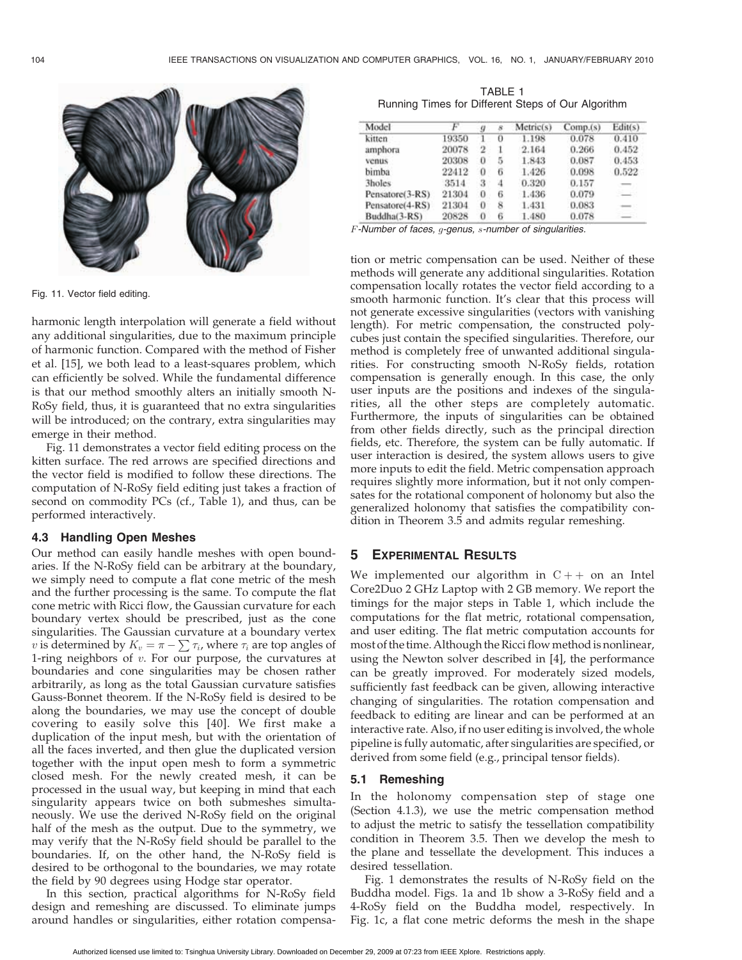

TABLE 1 Running Times for Different Steps of Our Algorithm

| Model           | F     | g | $\boldsymbol{s}$ | Metric(s) | $Comp_3(s)$ | Edit(s) |
|-----------------|-------|---|------------------|-----------|-------------|---------|
| kitten          | 19350 |   | 0                | 1.198     | 0.078       | 0.410   |
| amphora         | 20078 | 2 |                  | 2.164     | 0.266       | 0.452   |
| venus           | 20308 | o | 5                | 1.843     | 0.087       | 0.453   |
| bimba           | 22412 | 0 | 6                | 1.426     | 0.098       | 0.522   |
| 3holes          | 3514  | з | А                | 0.320     | 0.157       |         |
| Pensatore(3-RS) | 21304 | 0 | 6                | 1.436     | 0.079       |         |
| Pensatore(4-RS) | 21304 | o | 8                | 1.431     | 0.083       |         |
| Buddha(3-RS)    | 20828 | 0 | 6                | 1.480     | 0.078       |         |

F-Number of faces, g-genus, s-number of singularities.

Fig. 11. Vector field editing.

harmonic length interpolation will generate a field without any additional singularities, due to the maximum principle of harmonic function. Compared with the method of Fisher et al. [15], we both lead to a least-squares problem, which can efficiently be solved. While the fundamental difference is that our method smoothly alters an initially smooth N-RoSy field, thus, it is guaranteed that no extra singularities will be introduced; on the contrary, extra singularities may emerge in their method.

Fig. 11 demonstrates a vector field editing process on the kitten surface. The red arrows are specified directions and the vector field is modified to follow these directions. The computation of N-RoSy field editing just takes a fraction of second on commodity PCs (cf., Table 1), and thus, can be performed interactively.

# 4.3 Handling Open Meshes

Our method can easily handle meshes with open boundaries. If the N-RoSy field can be arbitrary at the boundary, we simply need to compute a flat cone metric of the mesh and the further processing is the same. To compute the flat cone metric with Ricci flow, the Gaussian curvature for each boundary vertex should be prescribed, just as the cone singularities. The Gaussian curvature at a boundary vertex *v* is determined by  $K_v = \pi - \sum \tau_i$ , where  $\tau_i$  are top angles of 1-ring neighbors of  $v$ . For our purpose, the curvatures at boundaries and cone singularities may be chosen rather arbitrarily, as long as the total Gaussian curvature satisfies Gauss-Bonnet theorem. If the N-RoSy field is desired to be along the boundaries, we may use the concept of double covering to easily solve this [40]. We first make a duplication of the input mesh, but with the orientation of all the faces inverted, and then glue the duplicated version together with the input open mesh to form a symmetric closed mesh. For the newly created mesh, it can be processed in the usual way, but keeping in mind that each singularity appears twice on both submeshes simultaneously. We use the derived N-RoSy field on the original half of the mesh as the output. Due to the symmetry, we may verify that the N-RoSy field should be parallel to the boundaries. If, on the other hand, the N-RoSy field is desired to be orthogonal to the boundaries, we may rotate the field by 90 degrees using Hodge star operator.

In this section, practical algorithms for N-RoSy field design and remeshing are discussed. To eliminate jumps around handles or singularities, either rotation compensa-

tion or metric compensation can be used. Neither of these methods will generate any additional singularities. Rotation compensation locally rotates the vector field according to a smooth harmonic function. It's clear that this process will not generate excessive singularities (vectors with vanishing length). For metric compensation, the constructed polycubes just contain the specified singularities. Therefore, our method is completely free of unwanted additional singularities. For constructing smooth N-RoSy fields, rotation compensation is generally enough. In this case, the only user inputs are the positions and indexes of the singularities, all the other steps are completely automatic. Furthermore, the inputs of singularities can be obtained from other fields directly, such as the principal direction fields, etc. Therefore, the system can be fully automatic. If user interaction is desired, the system allows users to give more inputs to edit the field. Metric compensation approach requires slightly more information, but it not only compensates for the rotational component of holonomy but also the generalized holonomy that satisfies the compatibility condition in Theorem 3.5 and admits regular remeshing.

# 5 EXPERIMENTAL RESULTS

We implemented our algorithm in  $C++$  on an Intel Core2Duo 2 GHz Laptop with 2 GB memory. We report the timings for the major steps in Table 1, which include the computations for the flat metric, rotational compensation, and user editing. The flat metric computation accounts for most of the time. Although the Ricci flow method is nonlinear, using the Newton solver described in [4], the performance can be greatly improved. For moderately sized models, sufficiently fast feedback can be given, allowing interactive changing of singularities. The rotation compensation and feedback to editing are linear and can be performed at an interactive rate. Also, if no user editing is involved, the whole pipeline is fully automatic, after singularities are specified, or derived from some field (e.g., principal tensor fields).

# 5.1 Remeshing

In the holonomy compensation step of stage one (Section 4.1.3), we use the metric compensation method to adjust the metric to satisfy the tessellation compatibility condition in Theorem 3.5. Then we develop the mesh to the plane and tessellate the development. This induces a desired tessellation.

Fig. 1 demonstrates the results of N-RoSy field on the Buddha model. Figs. 1a and 1b show a 3-RoSy field and a 4-RoSy field on the Buddha model, respectively. In Fig. 1c, a flat cone metric deforms the mesh in the shape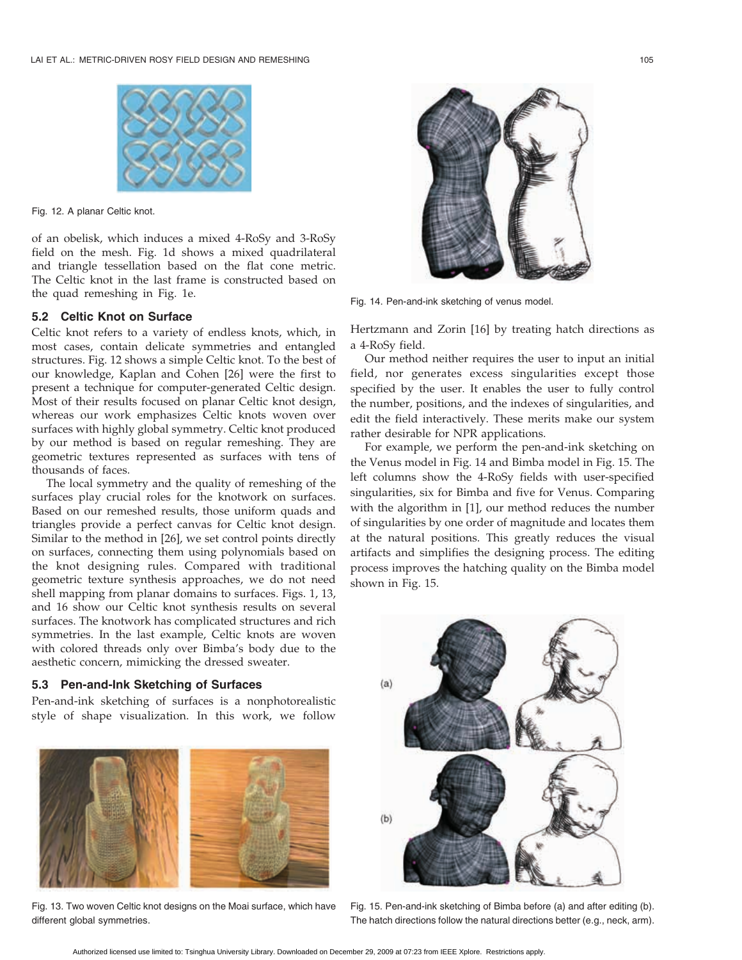

Fig. 12. A planar Celtic knot.

of an obelisk, which induces a mixed 4-RoSy and 3-RoSy field on the mesh. Fig. 1d shows a mixed quadrilateral and triangle tessellation based on the flat cone metric. The Celtic knot in the last frame is constructed based on the quad remeshing in Fig. 1e.

#### 5.2 Celtic Knot on Surface

Celtic knot refers to a variety of endless knots, which, in most cases, contain delicate symmetries and entangled structures. Fig. 12 shows a simple Celtic knot. To the best of our knowledge, Kaplan and Cohen [26] were the first to present a technique for computer-generated Celtic design. Most of their results focused on planar Celtic knot design, whereas our work emphasizes Celtic knots woven over surfaces with highly global symmetry. Celtic knot produced by our method is based on regular remeshing. They are geometric textures represented as surfaces with tens of thousands of faces.

The local symmetry and the quality of remeshing of the surfaces play crucial roles for the knotwork on surfaces. Based on our remeshed results, those uniform quads and triangles provide a perfect canvas for Celtic knot design. Similar to the method in [26], we set control points directly on surfaces, connecting them using polynomials based on the knot designing rules. Compared with traditional geometric texture synthesis approaches, we do not need shell mapping from planar domains to surfaces. Figs. 1, 13, and 16 show our Celtic knot synthesis results on several surfaces. The knotwork has complicated structures and rich symmetries. In the last example, Celtic knots are woven with colored threads only over Bimba's body due to the aesthetic concern, mimicking the dressed sweater.

#### 5.3 Pen-and-Ink Sketching of Surfaces

Pen-and-ink sketching of surfaces is a nonphotorealistic style of shape visualization. In this work, we follow



Fig. 13. Two woven Celtic knot designs on the Moai surface, which have different global symmetries.



Fig. 14. Pen-and-ink sketching of venus model.

Hertzmann and Zorin [16] by treating hatch directions as a 4-RoSy field.

Our method neither requires the user to input an initial field, nor generates excess singularities except those specified by the user. It enables the user to fully control the number, positions, and the indexes of singularities, and edit the field interactively. These merits make our system rather desirable for NPR applications.

For example, we perform the pen-and-ink sketching on the Venus model in Fig. 14 and Bimba model in Fig. 15. The left columns show the 4-RoSy fields with user-specified singularities, six for Bimba and five for Venus. Comparing with the algorithm in [1], our method reduces the number of singularities by one order of magnitude and locates them at the natural positions. This greatly reduces the visual artifacts and simplifies the designing process. The editing process improves the hatching quality on the Bimba model shown in Fig. 15.



Fig. 15. Pen-and-ink sketching of Bimba before (a) and after editing (b). The hatch directions follow the natural directions better (e.g., neck, arm).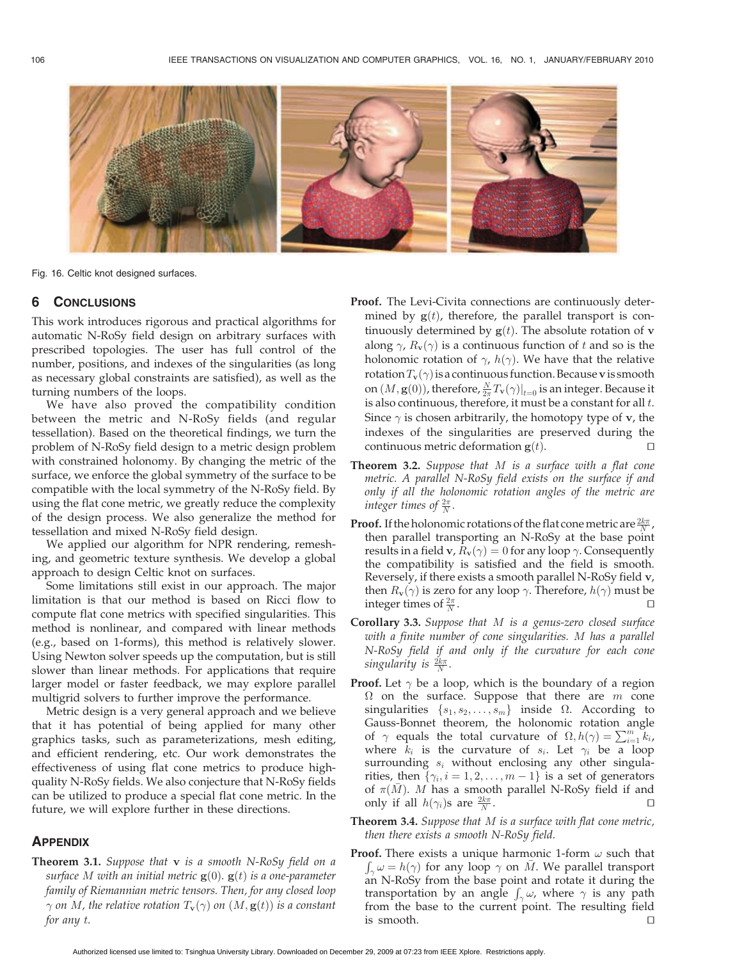

Fig. 16. Celtic knot designed surfaces.

## 6 CONCLUSIONS

This work introduces rigorous and practical algorithms for automatic N-RoSy field design on arbitrary surfaces with prescribed topologies. The user has full control of the number, positions, and indexes of the singularities (as long as necessary global constraints are satisfied), as well as the turning numbers of the loops.

We have also proved the compatibility condition between the metric and N-RoSy fields (and regular tessellation). Based on the theoretical findings, we turn the problem of N-RoSy field design to a metric design problem with constrained holonomy. By changing the metric of the surface, we enforce the global symmetry of the surface to be compatible with the local symmetry of the N-RoSy field. By using the flat cone metric, we greatly reduce the complexity of the design process. We also generalize the method for tessellation and mixed N-RoSy field design.

We applied our algorithm for NPR rendering, remeshing, and geometric texture synthesis. We develop a global approach to design Celtic knot on surfaces.

Some limitations still exist in our approach. The major limitation is that our method is based on Ricci flow to compute flat cone metrics with specified singularities. This method is nonlinear, and compared with linear methods (e.g., based on 1-forms), this method is relatively slower. Using Newton solver speeds up the computation, but is still slower than linear methods. For applications that require larger model or faster feedback, we may explore parallel multigrid solvers to further improve the performance.

Metric design is a very general approach and we believe that it has potential of being applied for many other graphics tasks, such as parameterizations, mesh editing, and efficient rendering, etc. Our work demonstrates the effectiveness of using flat cone metrics to produce highquality N-RoSy fields. We also conjecture that N-RoSy fields can be utilized to produce a special flat cone metric. In the future, we will explore further in these directions.

# **APPENDIX**

Theorem 3.1. Suppose that v is a smooth N-RoSy field on a surface M with an initial metric  $\mathbf{g}(0)$ .  $\mathbf{g}(t)$  is a one-parameter family of Riemannian metric tensors. Then, for any closed loop  $\gamma$  on M, the relative rotation  $T_{\mathbf{v}}(\gamma)$  on  $(M, \mathbf{g}(t))$  is a constant for any t.

- Proof. The Levi-Civita connections are continuously determined by  $g(t)$ , therefore, the parallel transport is continuously determined by  $g(t)$ . The absolute rotation of v along  $\gamma$ ,  $R_{\mathbf{v}}(\gamma)$  is a continuous function of t and so is the holonomic rotation of  $\gamma$ ,  $h(\gamma)$ . We have that the relative rotation  $T_{\mathbf{v}}(\gamma)$  is a continuous function. Because v is smooth on  $(M,{\bf g}(0))$ , therefore,  $\frac{N}{2\pi}T_{\bf v}(\gamma)|_{t=0}$  is an integer. Because it is also continuous, therefore, it must be a constant for all  $t$ . Since  $\gamma$  is chosen arbitrarily, the homotopy type of v, the indexes of the singularities are preserved during the continuous metric deformation  $g(t)$ .
- **Theorem 3.2.** Suppose that  $M$  is a surface with a flat cone metric. A parallel N-RoSy field exists on the surface if and only if all the holonomic rotation angles of the metric are integer times of  $\frac{2\pi}{N}$ .
- **Proof.** If the holonomic rotations of the flat cone metric are  $\frac{2k\pi}{N}$ , then parallel transporting an N-RoSy at the base point results in a field **v**,  $R_{\mathbf{v}}(\gamma) = 0$  for any loop  $\gamma$ . Consequently the compatibility is satisfied and the field is smooth. Reversely, if there exists a smooth parallel N-RoSy field v, then  $R_{\mathbf{v}}(\gamma)$  is zero for any loop  $\gamma$ . Therefore,  $h(\gamma)$  must be integer times of  $\frac{2\pi}{N}$  $\frac{2\pi}{N}$ .
- Corollary 3.3. Suppose that M is a genus-zero closed surface with a finite number of cone singularities. M has a parallel N-RoSy field if and only if the curvature for each cone singularity is  $\frac{2k\pi}{N}$ .
- **Proof.** Let  $\gamma$  be a loop, which is the boundary of a region  $\Omega$  on the surface. Suppose that there are m cone singularities  $\{s_1, s_2, \ldots, s_m\}$  inside  $\Omega$ . According to Gauss-Bonnet theorem, the holonomic rotation angle of  $\gamma$  equals the total curvature of  $\Omega$ ,  $h(\gamma) = \sum_{i=1}^{m} k_i$ , where  $k_i$  is the curvature of  $s_i$ . Let  $\gamma_i$  be a loop surrounding  $s_i$  without enclosing any other singularities, then  $\{\gamma_i, i = 1, 2, \ldots, m-1\}$  is a set of generators of  $\pi(\bar{M})$ . M has a smooth parallel N-RoSy field if and only if all  $h(\gamma_i)$ s are  $\frac{2k\pi}{N}$  $\frac{k\pi}{N}$ .
- **Theorem 3.4.** Suppose that  $M$  is a surface with flat cone metric, then there exists a smooth N-RoSy field.
- **Proof.** There exists a unique harmonic 1-form  $\omega$  such that  $\int_{\gamma} \omega = h(\gamma)$  for any loop  $\gamma$  on  $\overline{M}$ . We parallel transport an N-RoSy from the base point and rotate it during the transportation by an angle  $\int_{\gamma} \omega$ , where  $\gamma$  is any path from the base to the current point. The resulting field is smooth.  $\Box$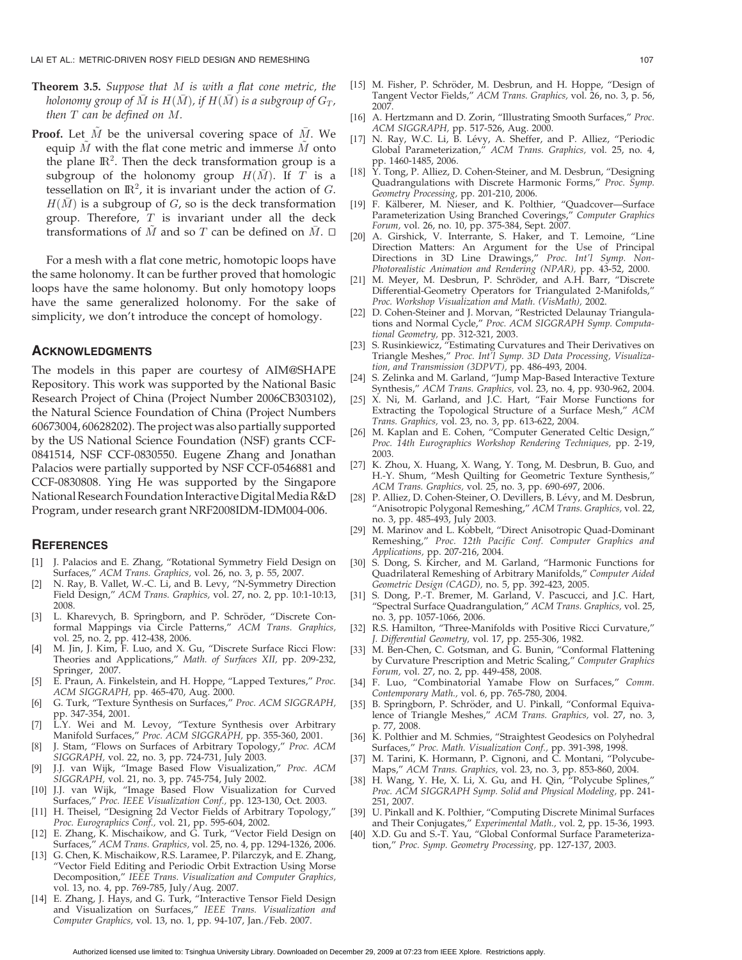- **Theorem 3.5.** Suppose that  $M$  is with a flat cone metric, the holonomy group of M is  $H(M)$ , if  $H(M)$  is a subgroup of  $G_T$ , then  $T$  can be defined on  $M$ .
- **Proof.** Let  $\tilde{M}$  be the universal covering space of  $\overline{M}$ . We equip  $\tilde{M}$  with the flat cone metric and immerse  $\tilde{M}$  onto the plane  $\mathbb{R}^2$ . Then the deck transformation group is a subgroup of the holonomy group  $H(\overline{M})$ . If T is a tessellation on  $\mathbb{R}^2$ , it is invariant under the action of G.  $H(M)$  is a subgroup of G, so is the deck transformation group. Therefore,  $T$  is invariant under all the deck transformations of  $\overline{M}$  and so  $T$  can be defined on  $\overline{M}$ .  $\Box$

For a mesh with a flat cone metric, homotopic loops have the same holonomy. It can be further proved that homologic loops have the same holonomy. But only homotopy loops have the same generalized holonomy. For the sake of simplicity, we don't introduce the concept of homology.

### ACKNOWLEDGMENTS

The models in this paper are courtesy of AIM@SHAPE Repository. This work was supported by the National Basic Research Project of China (Project Number 2006CB303102), the Natural Science Foundation of China (Project Numbers 60673004, 60628202). The project was also partially supported by the US National Science Foundation (NSF) grants CCF-0841514, NSF CCF-0830550. Eugene Zhang and Jonathan Palacios were partially supported by NSF CCF-0546881 and CCF-0830808. Ying He was supported by the Singapore National Research Foundation Interactive Digital Media R&D Program, under research grant NRF2008IDM-IDM004-006.

### **REFERENCES**

- [1] J. Palacios and E. Zhang, "Rotational Symmetry Field Design on Surfaces," ACM Trans. Graphics, vol. 26, no. 3, p. 55, 2007.
- [2] N. Ray, B. Vallet, W.-C. Li, and B. Levy, "N-Symmetry Direction Field Design," ACM Trans. Graphics, vol. 27, no. 2, pp. 10:1-10:13, 2008.
- [3] L. Kharevych, B. Springborn, and P. Schröder, "Discrete Conformal Mappings via Circle Patterns," ACM Trans. Graphics, vol. 25, no. 2, pp. 412-438, 2006.
- M. Jin, J. Kim, F. Luo, and X. Gu, "Discrete Surface Ricci Flow: Theories and Applications," Math. of Surfaces XII, pp. 209-232, Springer, 2007.
- [5] E. Praun, A. Finkelstein, and H. Hoppe, "Lapped Textures," Proc. ACM SIGGRAPH, pp. 465-470, Aug. 2000.
- [6] G. Turk, "Texture Synthesis on Surfaces," Proc. ACM SIGGRAPH, pp. 347-354, 2001.
- [7] L.Y. Wei and M. Levoy, "Texture Synthesis over Arbitrary Manifold Surfaces," Proc. ACM SIGGRAPH, pp. 355-360, 2001.
- [8] J. Stam, "Flows on Surfaces of Arbitrary Topology," Proc. ACM SIGGRAPH, vol. 22, no. 3, pp. 724-731, July 2003.
- [9] J.J. van Wijk, "Image Based Flow Visualization," Proc. ACM SIGGRAPH, vol. 21, no. 3, pp. 745-754, July 2002.
- [10] J.J. van Wijk, "Image Based Flow Visualization for Curved Surfaces," Proc. IEEE Visualization Conf., pp. 123-130, Oct. 2003.
- [11] H. Theisel, "Designing 2d Vector Fields of Arbitrary Topology," Proc. Eurographics Conf., vol. 21, pp. 595-604, 2002.
- [12] E. Zhang, K. Mischaikow, and G. Turk, "Vector Field Design on Surfaces," ACM Trans. Graphics, vol. 25, no. 4, pp. 1294-1326, 2006.
- G. Chen, K. Mischaikow, R.S. Laramee, P. Pilarczyk, and E. Zhang, "Vector Field Editing and Periodic Orbit Extraction Using Morse Decomposition," IEEE Trans. Visualization and Computer Graphics, vol. 13, no. 4, pp. 769-785, July/Aug. 2007.
- [14] E. Zhang, J. Hays, and G. Turk, "Interactive Tensor Field Design and Visualization on Surfaces," IEEE Trans. Visualization and Computer Graphics, vol. 13, no. 1, pp. 94-107, Jan./Feb. 2007.
- [15] M. Fisher, P. Schröder, M. Desbrun, and H. Hoppe, "Design of Tangent Vector Fields," ACM Trans. Graphics, vol. 26, no. 3, p. 56, 2007.
- [16] A. Hertzmann and D. Zorin, "Illustrating Smooth Surfaces," Proc. ACM SIGGRAPH, pp. 517-526, Aug. 2000.
- [17] N. Ray, W.C. Li, B. Lévy, A. Sheffer, and P. Alliez, "Periodic Global Parameterization," ACM Trans. Graphics, vol. 25, no. 4, pp. 1460-1485, 2006.
- [18] Y. Tong, P. Alliez, D. Cohen-Steiner, and M. Desbrun, "Designing Quadrangulations with Discrete Harmonic Forms," Proc. Symp. Geometry Processing, pp. 201-210, 2006.
- [19] F. Kälberer, M. Nieser, and K. Polthier, "Quadcover-Surface Parameterization Using Branched Coverings," Computer Graphics Forum, vol. 26, no. 10, pp. 375-384, Sept. 2007.
- [20] A. Girshick, V. Interrante, S. Haker, and T. Lemoine, "Line Direction Matters: An Argument for the Use of Principal Directions in 3D Line Drawings," Proc. Int'l Symp. Non-Photorealistic Animation and Rendering (NPAR), pp. 43-52, 2000.
- [21] M. Meyer, M. Desbrun, P. Schröder, and A.H. Barr, "Discrete Differential-Geometry Operators for Triangulated 2-Manifolds," Proc. Workshop Visualization and Math. (VisMath), 2002.
- [22] D. Cohen-Steiner and J. Morvan, "Restricted Delaunay Triangulations and Normal Cycle," Proc. ACM SIGGRAPH Symp. Computational Geometry, pp. 312-321, 2003.
- [23] S. Rusinkiewicz, "Estimating Curvatures and Their Derivatives on Triangle Meshes," Proc. Int'l Symp. 3D Data Processing, Visualization, and Transmission (3DPVT), pp. 486-493, 2004.
- [24] S. Zelinka and M. Garland, "Jump Map-Based Interactive Texture Synthesis," ACM Trans. Graphics, vol. 23, no. 4, pp. 930-962, 2004.
- [25] X. Ni, M. Garland, and J.C. Hart, "Fair Morse Functions for Extracting the Topological Structure of a Surface Mesh," ACM Trans. Graphics, vol. 23, no. 3, pp. 613-622, 2004.
- [26] M. Kaplan and E. Cohen, "Computer Generated Celtic Design," Proc. 14th Eurographics Workshop Rendering Techniques, pp. 2-19, 2003.
- [27] K. Zhou, X. Huang, X. Wang, Y. Tong, M. Desbrun, B. Guo, and H.-Y. Shum, "Mesh Quilting for Geometric Texture Synthesis," ACM Trans. Graphics, vol. 25, no. 3, pp. 690-697, 2006.
- [28] P. Alliez, D. Cohen-Steiner, O. Devillers, B. Lévy, and M. Desbrun, "Anisotropic Polygonal Remeshing," ACM Trans. Graphics, vol. 22, no. 3, pp. 485-493, July 2003.
- [29] M. Marinov and L. Kobbelt, "Direct Anisotropic Quad-Dominant Remeshing," Proc. 12th Pacific Conf. Computer Graphics and Applications, pp. 207-216, 2004.
- [30] S. Dong, S. Kircher, and M. Garland, "Harmonic Functions for Quadrilateral Remeshing of Arbitrary Manifolds," Computer Aided Geometric Design (CAGD), no. 5, pp. 392-423, 2005.
- [31] S. Dong, P.-T. Bremer, M. Garland, V. Pascucci, and J.C. Hart, "Spectral Surface Quadrangulation," ACM Trans. Graphics, vol. 25, no. 3, pp. 1057-1066, 2006.
- [32] R.S. Hamilton, "Three-Manifolds with Positive Ricci Curvature," J. Differential Geometry, vol. 17, pp. 255-306, 1982.
- [33] M. Ben-Chen, C. Gotsman, and G. Bunin, "Conformal Flattening by Curvature Prescription and Metric Scaling," Computer Graphics Forum, vol. 27, no. 2, pp. 449-458, 2008.
- [34] F. Luo, "Combinatorial Yamabe Flow on Surfaces," Comm. Contemporary Math., vol. 6, pp. 765-780, 2004.
- [35] B. Springborn, P. Schröder, and U. Pinkall, "Conformal Equivalence of Triangle Meshes," ACM Trans. Graphics, vol. 27, no. 3, p. 77, 2008.
- [36] K. Polthier and M. Schmies, "Straightest Geodesics on Polyhedral Surfaces," Proc. Math. Visualization Conf., pp. 391-398, 1998.
- [37] M. Tarini, K. Hormann, P. Cignoni, and C. Montani, "Polycube-Maps," ACM Trans. Graphics, vol. 23, no. 3, pp. 853-860, 2004.
- [38] H. Wang, Y. He, X. Li, X. Gu, and H. Qin, "Polycube Splines," Proc. ACM SIGGRAPH Symp. Solid and Physical Modeling, pp. 241-251, 2007.
- [39] U. Pinkall and K. Polthier, "Computing Discrete Minimal Surfaces and Their Conjugates," Experimental Math., vol. 2, pp. 15-36, 1993.
- [40] X.D. Gu and S.-T. Yau, "Global Conformal Surface Parameterization," Proc. Symp. Geometry Processing, pp. 127-137, 2003.